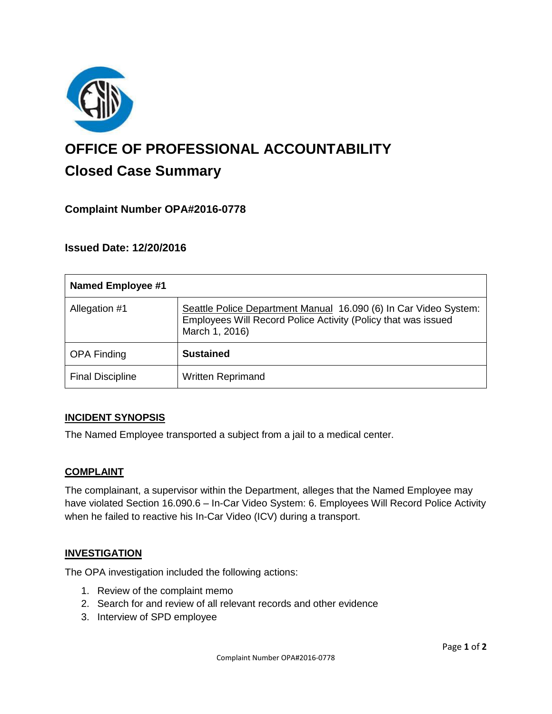

# **OFFICE OF PROFESSIONAL ACCOUNTABILITY Closed Case Summary**

## **Complaint Number OPA#2016-0778**

## **Issued Date: 12/20/2016**

| <b>Named Employee #1</b> |                                                                                                                                                     |
|--------------------------|-----------------------------------------------------------------------------------------------------------------------------------------------------|
| Allegation #1            | Seattle Police Department Manual 16.090 (6) In Car Video System:<br>Employees Will Record Police Activity (Policy that was issued<br>March 1, 2016) |
| <b>OPA Finding</b>       | <b>Sustained</b>                                                                                                                                    |
| <b>Final Discipline</b>  | <b>Written Reprimand</b>                                                                                                                            |

#### **INCIDENT SYNOPSIS**

The Named Employee transported a subject from a jail to a medical center.

#### **COMPLAINT**

The complainant, a supervisor within the Department, alleges that the Named Employee may have violated Section 16.090.6 – In-Car Video System: 6. Employees Will Record Police Activity when he failed to reactive his In-Car Video (ICV) during a transport.

#### **INVESTIGATION**

The OPA investigation included the following actions:

- 1. Review of the complaint memo
- 2. Search for and review of all relevant records and other evidence
- 3. Interview of SPD employee